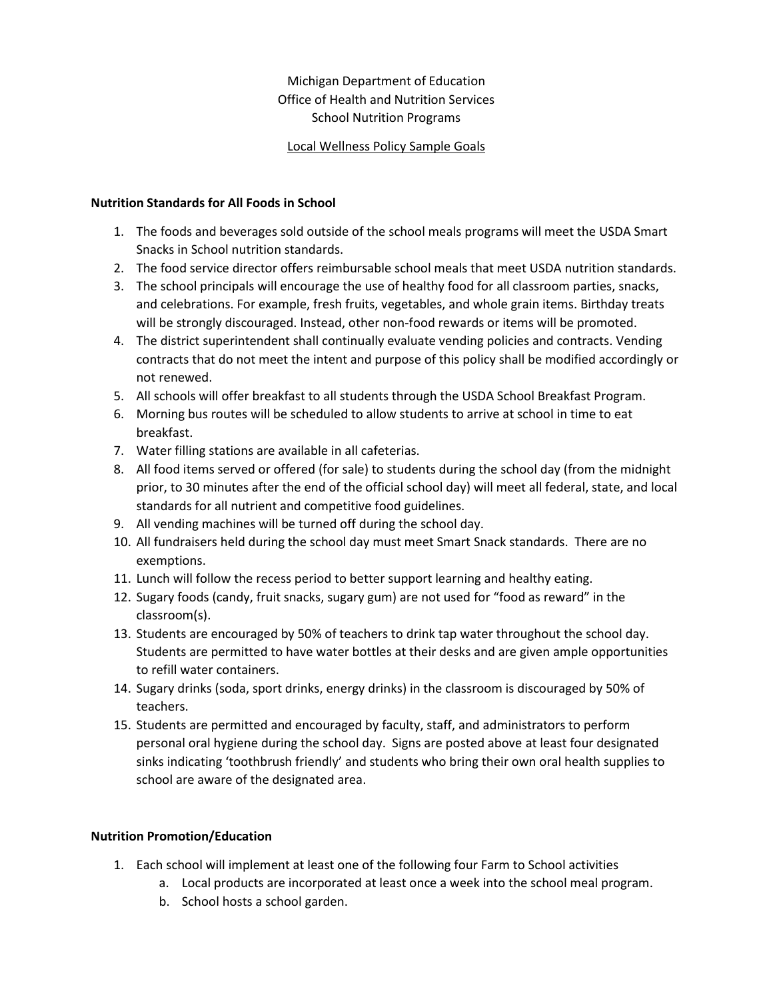## Michigan Department of Education Office of Health and Nutrition Services School Nutrition Programs

## Local Wellness Policy Sample Goals

### **Nutrition Standards for All Foods in School**

- 1. The foods and beverages sold outside of the school meals programs will meet the USDA Smart Snacks in School nutrition standards.
- 2. The food service director offers reimbursable school meals that meet USDA nutrition standards.
- 3. The school principals will encourage the use of healthy food for all classroom parties, snacks, and celebrations. For example, fresh fruits, vegetables, and whole grain items. Birthday treats will be strongly discouraged. Instead, other non-food rewards or items will be promoted.
- 4. The district superintendent shall continually evaluate vending policies and contracts. Vending contracts that do not meet the intent and purpose of this policy shall be modified accordingly or not renewed.
- 5. All schools will offer breakfast to all students through the USDA School Breakfast Program.
- 6. Morning bus routes will be scheduled to allow students to arrive at school in time to eat breakfast.
- 7. Water filling stations are available in all cafeterias.
- 8. All food items served or offered (for sale) to students during the school day (from the midnight prior, to 30 minutes after the end of the official school day) will meet all federal, state, and local standards for all nutrient and competitive food guidelines.
- 9. All vending machines will be turned off during the school day.
- 10. All fundraisers held during the school day must meet Smart Snack standards. There are no exemptions.
- 11. Lunch will follow the recess period to better support learning and healthy eating.
- 12. Sugary foods (candy, fruit snacks, sugary gum) are not used for "food as reward" in the classroom(s).
- 13. Students are encouraged by 50% of teachers to drink tap water throughout the school day. Students are permitted to have water bottles at their desks and are given ample opportunities to refill water containers.
- 14. Sugary drinks (soda, sport drinks, energy drinks) in the classroom is discouraged by 50% of teachers.
- 15. Students are permitted and encouraged by faculty, staff, and administrators to perform personal oral hygiene during the school day. Signs are posted above at least four designated sinks indicating 'toothbrush friendly' and students who bring their own oral health supplies to school are aware of the designated area.

## **Nutrition Promotion/Education**

- 1. Each school will implement at least one of the following four Farm to School activities
	- a. Local products are incorporated at least once a week into the school meal program.
	- b. School hosts a school garden.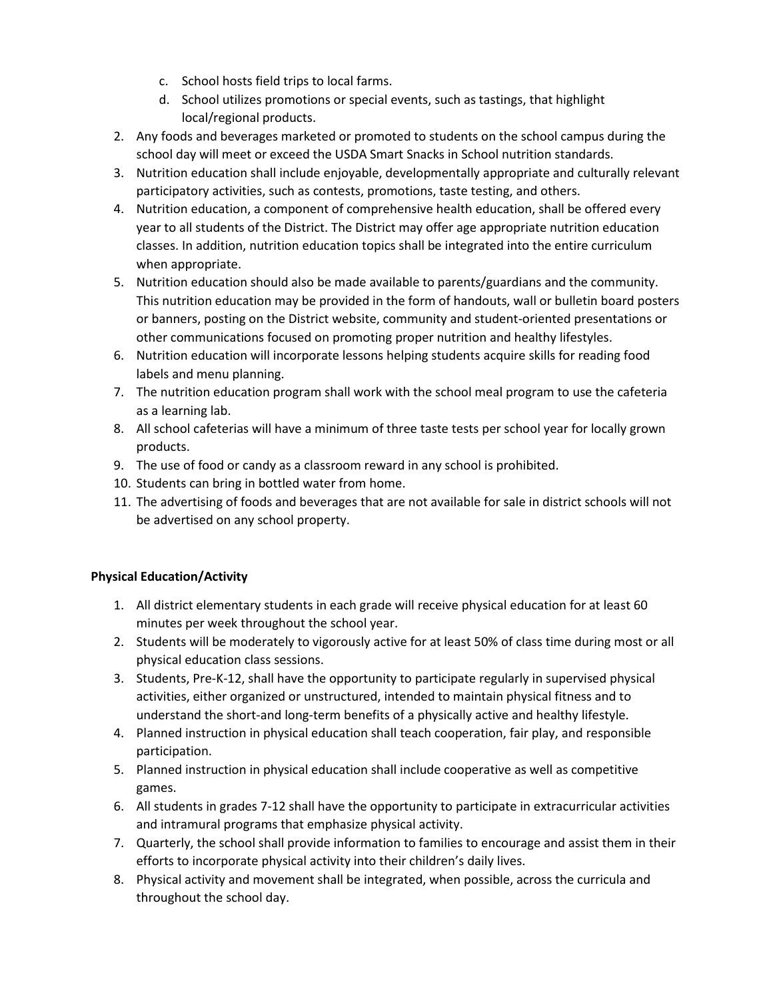- c. School hosts field trips to local farms.
- d. School utilizes promotions or special events, such as tastings, that highlight local/regional products.
- 2. Any foods and beverages marketed or promoted to students on the school campus during the school day will meet or exceed the USDA Smart Snacks in School nutrition standards.
- 3. Nutrition education shall include enjoyable, developmentally appropriate and culturally relevant participatory activities, such as contests, promotions, taste testing, and others.
- 4. Nutrition education, a component of comprehensive health education, shall be offered every year to all students of the District. The District may offer age appropriate nutrition education classes. In addition, nutrition education topics shall be integrated into the entire curriculum when appropriate.
- 5. Nutrition education should also be made available to parents/guardians and the community. This nutrition education may be provided in the form of handouts, wall or bulletin board posters or banners, posting on the District website, community and student-oriented presentations or other communications focused on promoting proper nutrition and healthy lifestyles.
- 6. Nutrition education will incorporate lessons helping students acquire skills for reading food labels and menu planning.
- 7. The nutrition education program shall work with the school meal program to use the cafeteria as a learning lab.
- 8. All school cafeterias will have a minimum of three taste tests per school year for locally grown products.
- 9. The use of food or candy as a classroom reward in any school is prohibited.
- 10. Students can bring in bottled water from home.
- 11. The advertising of foods and beverages that are not available for sale in district schools will not be advertised on any school property.

# **Physical Education/Activity**

- 1. All district elementary students in each grade will receive physical education for at least 60 minutes per week throughout the school year.
- 2. Students will be moderately to vigorously active for at least 50% of class time during most or all physical education class sessions.
- 3. Students, Pre-K-12, shall have the opportunity to participate regularly in supervised physical activities, either organized or unstructured, intended to maintain physical fitness and to understand the short-and long-term benefits of a physically active and healthy lifestyle.
- 4. Planned instruction in physical education shall teach cooperation, fair play, and responsible participation.
- 5. Planned instruction in physical education shall include cooperative as well as competitive games.
- 6. All students in grades 7-12 shall have the opportunity to participate in extracurricular activities and intramural programs that emphasize physical activity.
- 7. Quarterly, the school shall provide information to families to encourage and assist them in their efforts to incorporate physical activity into their children's daily lives.
- 8. Physical activity and movement shall be integrated, when possible, across the curricula and throughout the school day.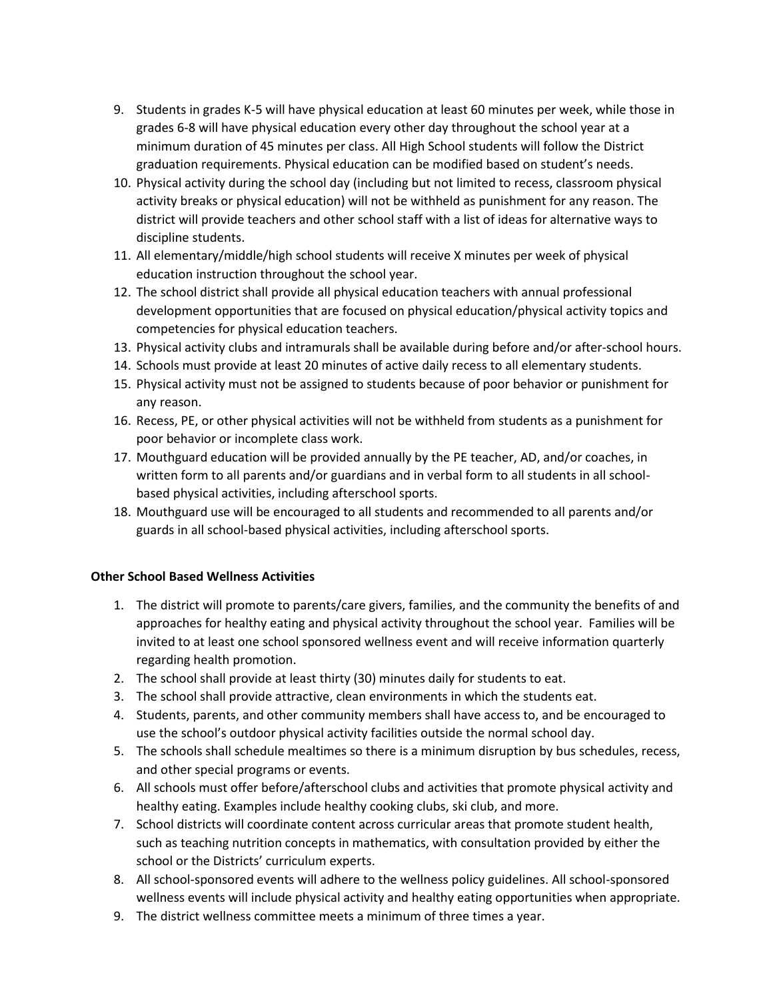- 9. Students in grades K-5 will have physical education at least 60 minutes per week, while those in grades 6-8 will have physical education every other day throughout the school year at a minimum duration of 45 minutes per class. All High School students will follow the District graduation requirements. Physical education can be modified based on student's needs.
- 10. Physical activity during the school day (including but not limited to recess, classroom physical activity breaks or physical education) will not be withheld as punishment for any reason. The district will provide teachers and other school staff with a list of ideas for alternative ways to discipline students.
- 11. All elementary/middle/high school students will receive X minutes per week of physical education instruction throughout the school year.
- 12. The school district shall provide all physical education teachers with annual professional development opportunities that are focused on physical education/physical activity topics and competencies for physical education teachers.
- 13. Physical activity clubs and intramurals shall be available during before and/or after-school hours.
- 14. Schools must provide at least 20 minutes of active daily recess to all elementary students.
- 15. Physical activity must not be assigned to students because of poor behavior or punishment for any reason.
- 16. Recess, PE, or other physical activities will not be withheld from students as a punishment for poor behavior or incomplete class work.
- 17. Mouthguard education will be provided annually by the PE teacher, AD, and/or coaches, in written form to all parents and/or guardians and in verbal form to all students in all schoolbased physical activities, including afterschool sports.
- 18. Mouthguard use will be encouraged to all students and recommended to all parents and/or guards in all school-based physical activities, including afterschool sports.

### **Other School Based Wellness Activities**

- 1. The district will promote to parents/care givers, families, and the community the benefits of and approaches for healthy eating and physical activity throughout the school year. Families will be invited to at least one school sponsored wellness event and will receive information quarterly regarding health promotion.
- 2. The school shall provide at least thirty (30) minutes daily for students to eat.
- 3. The school shall provide attractive, clean environments in which the students eat.
- 4. Students, parents, and other community members shall have access to, and be encouraged to use the school's outdoor physical activity facilities outside the normal school day.
- 5. The schools shall schedule mealtimes so there is a minimum disruption by bus schedules, recess, and other special programs or events.
- 6. All schools must offer before/afterschool clubs and activities that promote physical activity and healthy eating. Examples include healthy cooking clubs, ski club, and more.
- 7. School districts will coordinate content across curricular areas that promote student health, such as teaching nutrition concepts in mathematics, with consultation provided by either the school or the Districts' curriculum experts.
- 8. All school-sponsored events will adhere to the wellness policy guidelines. All school-sponsored wellness events will include physical activity and healthy eating opportunities when appropriate.
- 9. The district wellness committee meets a minimum of three times a year.